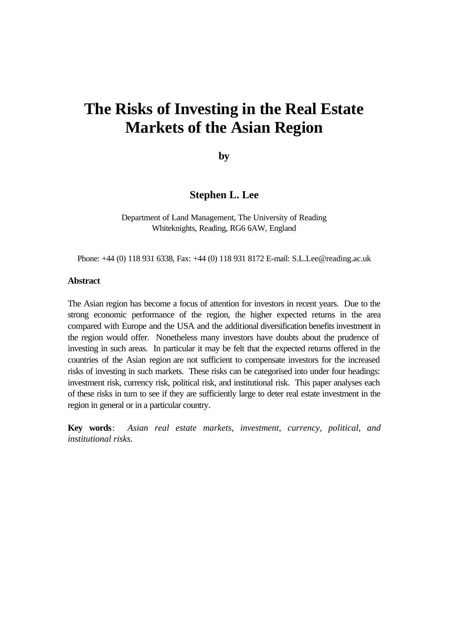# **The Risks of Investing in the Real Estate Markets of the Asian Region**

**by**

# **Stephen L. Lee**

Department of Land Management, The University of Reading Whiteknights, Reading, RG6 6AW, England

Phone: +44 (0) 118 931 6338, Fax: +44 (0) 118 931 8172 E-mail: S.L.Lee@reading.ac.uk

#### **Abstract**

The Asian region has become a focus of attention for investors in recent years. Due to the strong economic performance of the region, the higher expected returns in the area compared with Europe and the USA and the additional diversification benefits investment in the region would offer. Nonetheless many investors have doubts about the prudence of investing in such areas. In particular it may be felt that the expected returns offered in the countries of the Asian region are not sufficient to compensate investors for the increased risks of investing in such markets. These risks can be categorised into under four headings: investment risk, currency risk, political risk, and institutional risk. This paper analyses each of these risks in turn to see if they are sufficiently large to deter real estate investment in the region in general or in a particular country.

**Key words**: *Asian real estate markets, investment, currency, political, and institutional risks.*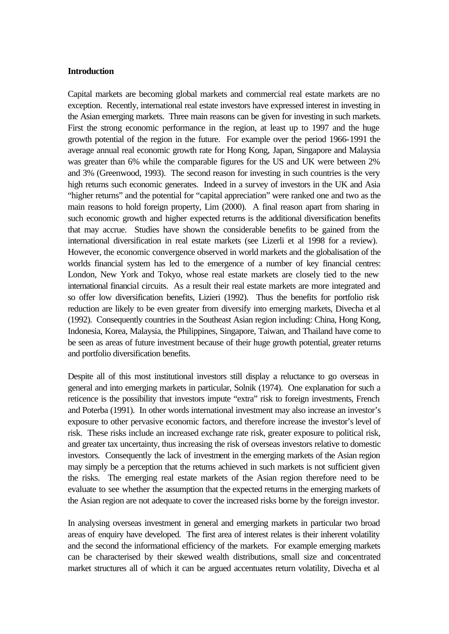#### **Introduction**

Capital markets are becoming global markets and commercial real estate markets are no exception. Recently, international real estate investors have expressed interest in investing in the Asian emerging markets. Three main reasons can be given for investing in such markets. First the strong economic performance in the region, at least up to 1997 and the huge growth potential of the region in the future. For example over the period 1966-1991 the average annual real economic growth rate for Hong Kong, Japan, Singapore and Malaysia was greater than 6% while the comparable figures for the US and UK were between 2% and 3% (Greenwood, 1993). The second reason for investing in such countries is the very high returns such economic generates. Indeed in a survey of investors in the UK and Asia "higher returns" and the potential for "capital appreciation" were ranked one and two as the main reasons to hold foreign property, Lim (2000). A final reason apart from sharing in such economic growth and higher expected returns is the additional diversification benefits that may accrue. Studies have shown the considerable benefits to be gained from the international diversification in real estate markets (see Lizerli et al 1998 for a review). However, the economic convergence observed in world markets and the globalisation of the worlds financial system has led to the emergence of a number of key financial centres: London, New York and Tokyo, whose real estate markets are closely tied to the new international financial circuits. As a result their real estate markets are more integrated and so offer low diversification benefits, Lizieri (1992). Thus the benefits for portfolio risk reduction are likely to be even greater from diversify into emerging markets, Divecha et al (1992). Consequently countries in the Southeast Asian region including: China, Hong Kong, Indonesia, Korea, Malaysia, the Philippines, Singapore, Taiwan, and Thailand have come to be seen as areas of future investment because of their huge growth potential, greater returns and portfolio diversification benefits.

Despite all of this most institutional investors still display a reluctance to go overseas in general and into emerging markets in particular, Solnik (1974). One explanation for such a reticence is the possibility that investors impute "extra" risk to foreign investments, French and Poterba (1991). In other words international investment may also increase an investor's exposure to other pervasive economic factors, and therefore increase the investor's level of risk. These risks include an increased exchange rate risk, greater exposure to political risk, and greater tax uncertainty, thus increasing the risk of overseas investors relative to domestic investors. Consequently the lack of investment in the emerging markets of the Asian region may simply be a perception that the returns achieved in such markets is not sufficient given the risks. The emerging real estate markets of the Asian region therefore need to be evaluate to see whether the assumption that the expected returns in the emerging markets of the Asian region are not adequate to cover the increased risks borne by the foreign investor.

In analysing overseas investment in general and emerging markets in particular two broad areas of enquiry have developed. The first area of interest relates is their inherent volatility and the second the informational efficiency of the markets. For example emerging markets can be characterised by their skewed wealth distributions, small size and concentrated market structures all of which it can be argued accentuates return volatility, Divecha et al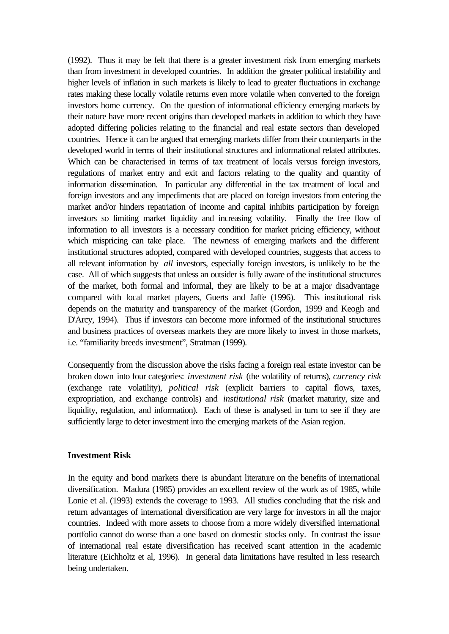(1992). Thus it may be felt that there is a greater investment risk from emerging markets than from investment in developed countries. In addition the greater political instability and higher levels of inflation in such markets is likely to lead to greater fluctuations in exchange rates making these locally volatile returns even more volatile when converted to the foreign investors home currency. On the question of informational efficiency emerging markets by their nature have more recent origins than developed markets in addition to which they have adopted differing policies relating to the financial and real estate sectors than developed countries. Hence it can be argued that emerging markets differ from their counterparts in the developed world in terms of their institutional structures and informational related attributes. Which can be characterised in terms of tax treatment of locals versus foreign investors, regulations of market entry and exit and factors relating to the quality and quantity of information dissemination. In particular any differential in the tax treatment of local and foreign investors and any impediments that are placed on foreign investors from entering the market and/or hinders repatriation of income and capital inhibits participation by foreign investors so limiting market liquidity and increasing volatility. Finally the free flow of information to all investors is a necessary condition for market pricing efficiency, without which mispricing can take place. The newness of emerging markets and the different institutional structures adopted, compared with developed countries, suggests that access to all relevant information by *all* investors, especially foreign investors, is unlikely to be the case. All of which suggests that unless an outsider is fully aware of the institutional structures of the market, both formal and informal, they are likely to be at a major disadvantage compared with local market players, Guerts and Jaffe (1996). This institutional risk depends on the maturity and transparency of the market (Gordon, 1999 and Keogh and D'Arcy, 1994). Thus if investors can become more informed of the institutional structures and business practices of overseas markets they are more likely to invest in those markets, i.e. "familiarity breeds investment", Stratman (1999).

Consequently from the discussion above the risks facing a foreign real estate investor can be broken down into four categories: *investment risk* (the volatility of returns), *currency risk*  (exchange rate volatility), *political risk* (explicit barriers to capital flows, taxes, expropriation, and exchange controls) and *institutional risk* (market maturity, size and liquidity, regulation, and information). Each of these is analysed in turn to see if they are sufficiently large to deter investment into the emerging markets of the Asian region.

## **Investment Risk**

In the equity and bond markets there is abundant literature on the benefits of international diversification. Madura (1985) provides an excellent review of the work as of 1985, while Lonie et al. (1993) extends the coverage to 1993. All studies concluding that the risk and return advantages of international diversification are very large for investors in all the major countries. Indeed with more assets to choose from a more widely diversified international portfolio cannot do worse than a one based on domestic stocks only. In contrast the issue of international real estate diversification has received scant attention in the academic literature (Eichholtz et al, 1996). In general data limitations have resulted in less research being undertaken.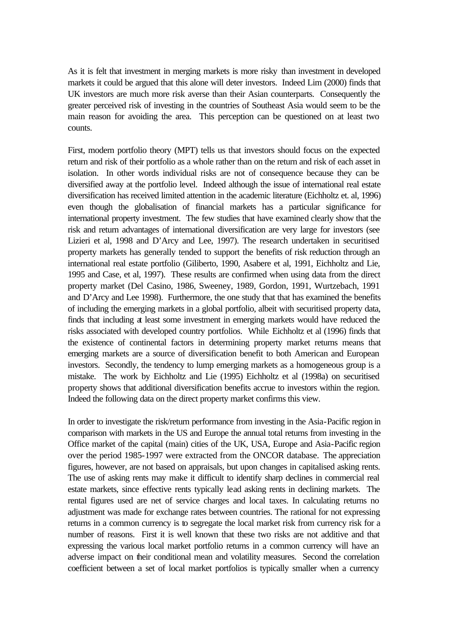As it is felt that investment in merging markets is more risky than investment in developed markets it could be argued that this alone will deter investors. Indeed Lim (2000) finds that UK investors are much more risk averse than their Asian counterparts. Consequently the greater perceived risk of investing in the countries of Southeast Asia would seem to be the main reason for avoiding the area. This perception can be questioned on at least two counts.

First, modern portfolio theory (MPT) tells us that investors should focus on the expected return and risk of their portfolio as a whole rather than on the return and risk of each asset in isolation. In other words individual risks are not of consequence because they can be diversified away at the portfolio level. Indeed although the issue of international real estate diversification has received limited attention in the academic literature (Eichholtz et. al, 1996) even though the globalisation of financial markets has a particular significance for international property investment. The few studies that have examined clearly show that the risk and return advantages of international diversification are very large for investors (see Lizieri et al, 1998 and D'Arcy and Lee, 1997). The research undertaken in securitised property markets has generally tended to support the benefits of risk reduction through an international real estate portfolio (Giliberto, 1990, Asabere et al, 1991, Eichholtz and Lie, 1995 and Case, et al, 1997). These results are confirmed when using data from the direct property market (Del Casino, 1986, Sweeney, 1989, Gordon, 1991, Wurtzebach, 1991 and D'Arcy and Lee 1998). Furthermore, the one study that that has examined the benefits of including the emerging markets in a global portfolio, albeit with securitised property data, finds that including at least some investment in emerging markets would have reduced the risks associated with developed country portfolios. While Eichholtz et al (1996) finds that the existence of continental factors in determining property market returns means that emerging markets are a source of diversification benefit to both American and European investors. Secondly, the tendency to lump emerging markets as a homogeneous group is a mistake. The work by Eichholtz and Lie (1995) Eichholtz et al (1998a) on securitised property shows that additional diversification benefits accrue to investors within the region. Indeed the following data on the direct property market confirms this view.

In order to investigate the risk/return performance from investing in the Asia-Pacific region in comparison with markets in the US and Europe the annual total returns from investing in the Office market of the capital (main) cities of the UK, USA, Europe and Asia-Pacific region over the period 1985-1997 were extracted from the ONCOR database. The appreciation figures, however, are not based on appraisals, but upon changes in capitalised asking rents. The use of asking rents may make it difficult to identify sharp declines in commercial real estate markets, since effective rents typically lead asking rents in declining markets. The rental figures used are net of service charges and local taxes. In calculating returns no adjustment was made for exchange rates between countries. The rational for not expressing returns in a common currency is to segregate the local market risk from currency risk for a number of reasons. First it is well known that these two risks are not additive and that expressing the various local market portfolio returns in a common currency will have an adverse impact on their conditional mean and volatility measures. Second the correlation coefficient between a set of local market portfolios is typically smaller when a currency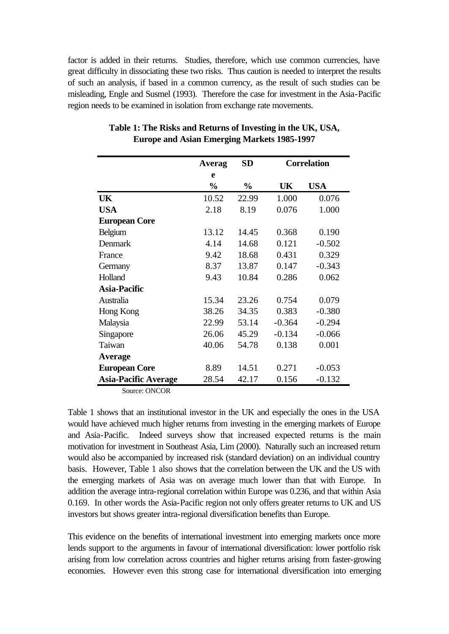factor is added in their returns. Studies, therefore, which use common currencies, have great difficulty in dissociating these two risks. Thus caution is needed to interpret the results of such an analysis, if based in a common currency, as the result of such studies can be misleading, Engle and Susmel (1993). Therefore the case for investment in the Asia-Pacific region needs to be examined in isolation from exchange rate movements.

|                             | Averag        | <b>SD</b>     | <b>Correlation</b> |            |
|-----------------------------|---------------|---------------|--------------------|------------|
|                             | e             |               |                    |            |
|                             | $\frac{0}{0}$ | $\frac{0}{0}$ | UK                 | <b>USA</b> |
| UK                          | 10.52         | 22.99         | 1.000              | 0.076      |
| <b>USA</b>                  | 2.18          | 8.19          | 0.076              | 1.000      |
| <b>European Core</b>        |               |               |                    |            |
| Belgium                     | 13.12         | 14.45         | 0.368              | 0.190      |
| Denmark                     | 4.14          | 14.68         | 0.121              | $-0.502$   |
| France                      | 9.42          | 18.68         | 0.431              | 0.329      |
| Germany                     | 8.37          | 13.87         | 0.147              | $-0.343$   |
| Holland                     | 9.43          | 10.84         | 0.286              | 0.062      |
| Asia-Pacific                |               |               |                    |            |
| Australia                   | 15.34         | 23.26         | 0.754              | 0.079      |
| Hong Kong                   | 38.26         | 34.35         | 0.383              | $-0.380$   |
| Malaysia                    | 22.99         | 53.14         | $-0.364$           | $-0.294$   |
| Singapore                   | 26.06         | 45.29         | $-0.134$           | $-0.066$   |
| Taiwan                      | 40.06         | 54.78         | 0.138              | 0.001      |
| <b>Average</b>              |               |               |                    |            |
| <b>European Core</b>        | 8.89          | 14.51         | 0.271              | $-0.053$   |
| <b>Asia-Pacific Average</b> | 28.54         | 42.17         | 0.156              | $-0.132$   |

## **Table 1: The Risks and Returns of Investing in the UK, USA, Europe and Asian Emerging Markets 1985-1997**

Source: ONCOR

Table 1 shows that an institutional investor in the UK and especially the ones in the USA would have achieved much higher returns from investing in the emerging markets of Europe and Asia-Pacific. Indeed surveys show that increased expected returns is the main motivation for investment in Southeast Asia, Lim (2000). Naturally such an increased return would also be accompanied by increased risk (standard deviation) on an individual country basis. However, Table 1 also shows that the correlation between the UK and the US with the emerging markets of Asia was on average much lower than that with Europe. In addition the average intra-regional correlation within Europe was 0.236, and that within Asia 0.169. In other words the Asia-Pacific region not only offers greater returns to UK and US investors but shows greater intra-regional diversification benefits than Europe.

This evidence on the benefits of international investment into emerging markets once more lends support to the arguments in favour of international diversification: lower portfolio risk arising from low correlation across countries and higher returns arising from faster-growing economies. However even this strong case for international diversification into emerging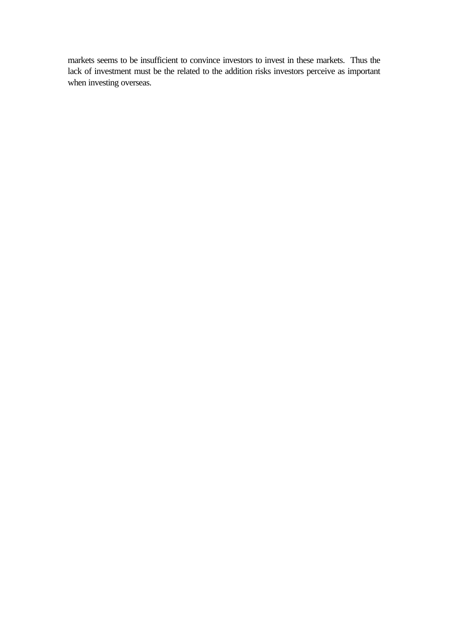markets seems to be insufficient to convince investors to invest in these markets. Thus the lack of investment must be the related to the addition risks investors perceive as important when investing overseas.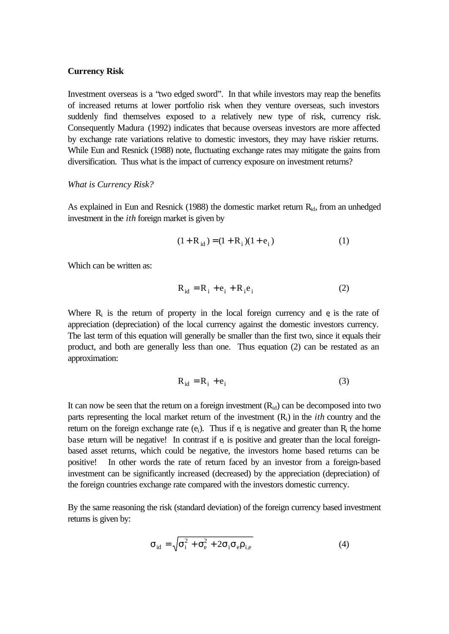#### **Currency Risk**

Investment overseas is a "two edged sword". In that while investors may reap the benefits of increased returns at lower portfolio risk when they venture overseas, such investors suddenly find themselves exposed to a relatively new type of risk, currency risk. Consequently Madura (1992) indicates that because overseas investors are more affected by exchange rate variations relative to domestic investors, they may have riskier returns. While Eun and Resnick (1988) note, fluctuating exchange rates may mitigate the gains from diversification. Thus what is the impact of currency exposure on investment returns?

#### *What is Currency Risk?*

As explained in Eun and Resnick (1988) the domestic market return  $R_{id}$ , from an unhedged investment in the *ith* foreign market is given by

$$
(1 + R_{id}) = (1 + R_i)(1 + e_i)
$$
 (1)

Which can be written as:

$$
R_{id} = R_i + e_i + R_i e_i \tag{2}
$$

Where  $R_i$  is the return of property in the local foreign currency and  $e_i$  is the rate of appreciation (depreciation) of the local currency against the domestic investors currency. The last term of this equation will generally be smaller than the first two, since it equals their product, and both are generally less than one. Thus equation (2) can be restated as an approximation:

$$
R_{id} = R_i + e_i \tag{3}
$$

It can now be seen that the return on a foreign investment  $(R_{id})$  can be decomposed into two parts representing the local market return of the investment (Ri) in the *ith* country and the return on the foreign exchange rate  $(e_i)$ . Thus if  $e_i$  is negative and greater than R<sub>i</sub> the home base return will be negative! In contrast if  $e_i$  is positive and greater than the local foreignbased asset returns, which could be negative, the investors home based returns can be positive! In other words the rate of return faced by an investor from a foreign-based investment can be significantly increased (decreased) by the appreciation (depreciation) of the foreign countries exchange rate compared with the investors domestic currency.

By the same reasoning the risk (standard deviation) of the foreign currency based investment returns is given by:

$$
\sigma_{\rm id} = \sqrt{\sigma_{\rm i}^2 + \sigma_{\rm e}^2 + 2\sigma_{\rm i}\sigma_{\rm e}\rho_{\rm i,e}}
$$
(4)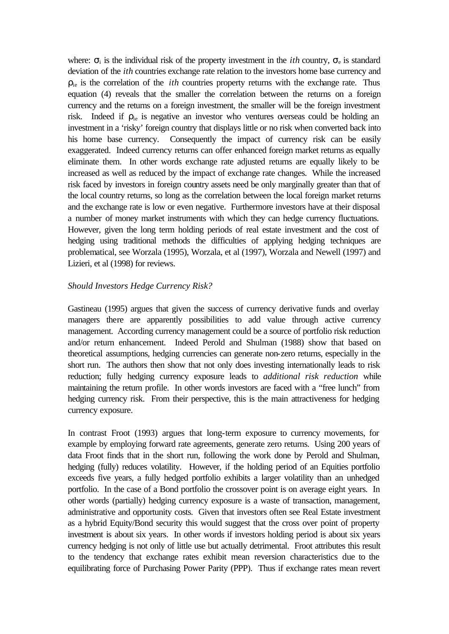where:  $\sigma_i$  is the individual risk of the property investment in the *ith* country,  $\sigma_e$  is standard deviation of the *ith* countries exchange rate relation to the investors home base currency and ρie is the correlation of the *ith* countries property returns with the exchange rate. Thus equation (4) reveals that the smaller the correlation between the returns on a foreign currency and the returns on a foreign investment, the smaller will be the foreign investment risk. Indeed if  $\rho_{ie}$  is negative an investor who ventures overseas could be holding an investment in a 'risky' foreign country that displays little or no risk when converted back into his home base currency. Consequently the impact of currency risk can be easily exaggerated. Indeed currency returns can offer enhanced foreign market returns as equally eliminate them. In other words exchange rate adjusted returns are equally likely to be increased as well as reduced by the impact of exchange rate changes. While the increased risk faced by investors in foreign country assets need be only marginally greater than that of the local country returns, so long as the correlation between the local foreign market returns and the exchange rate is low or even negative. Furthermore investors have at their disposal a number of money market instruments with which they can hedge currency fluctuations. However, given the long term holding periods of real estate investment and the cost of hedging using traditional methods the difficulties of applying hedging techniques are problematical, see Worzala (1995), Worzala, et al (1997), Worzala and Newell (1997) and Lizieri, et al (1998) for reviews.

## *Should Investors Hedge Currency Risk?*

Gastineau (1995) argues that given the success of currency derivative funds and overlay managers there are apparently possibilities to add value through active currency management. According currency management could be a source of portfolio risk reduction and/or return enhancement. Indeed Perold and Shulman (1988) show that based on theoretical assumptions, hedging currencies can generate non-zero returns, especially in the short run. The authors then show that not only does investing internationally leads to risk reduction; fully hedging currency exposure leads to *additional risk reduction* while maintaining the return profile. In other words investors are faced with a "free lunch" from hedging currency risk. From their perspective, this is the main attractiveness for hedging currency exposure.

In contrast Froot (1993) argues that long-term exposure to currency movements, for example by employing forward rate agreements, generate zero returns. Using 200 years of data Froot finds that in the short run, following the work done by Perold and Shulman, hedging (fully) reduces volatility. However, if the holding period of an Equities portfolio exceeds five years, a fully hedged portfolio exhibits a larger volatility than an unhedged portfolio. In the case of a Bond portfolio the crossover point is on average eight years. In other words (partially) hedging currency exposure is a waste of transaction, management, administrative and opportunity costs. Given that investors often see Real Estate investment as a hybrid Equity/Bond security this would suggest that the cross over point of property investment is about six years. In other words if investors holding period is about six years currency hedging is not only of little use but actually detrimental. Froot attributes this result to the tendency that exchange rates exhibit mean reversion characteristics due to the equilibrating force of Purchasing Power Parity (PPP). Thus if exchange rates mean revert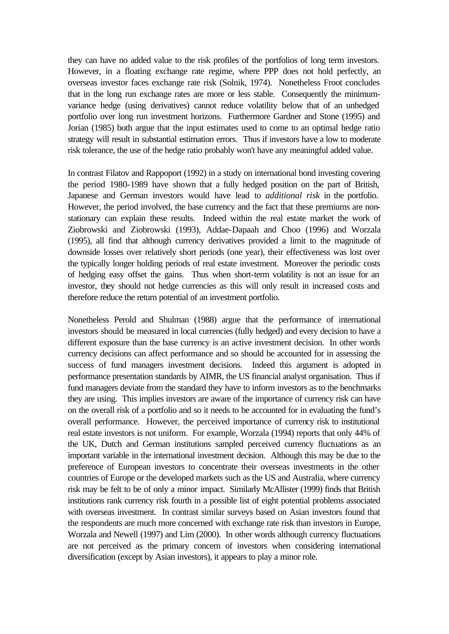they can have no added value to the risk profiles of the portfolios of long term investors. However, in a floating exchange rate regime, where PPP does not hold perfectly, an overseas investor faces exchange rate risk (Solnik, 1974). Nonetheless Froot concludes that in the long run exchange rates are more or less stable. Consequently the minimumvariance hedge (using derivatives) cannot reduce volatility below that of an unhedged portfolio over long run investment horizons. Furthermore Gardner and Stone (1995) and Jorian (1985) both argue that the input estimates used to come to an optimal hedge ratio strategy will result in substantial estimation errors. Thus if investors have a low to moderate risk tolerance, the use of the hedge ratio probably won't have any meaningful added value.

In contrast Filatov and Rappoport (1992) in a study on international bond investing covering the period 1980-1989 have shown that a fully hedged position on the part of British, Japanese and German investors would have lead to *additional risk* in the portfolio. However, the period involved, the base currency and the fact that these premiums are nonstationary can explain these results. Indeed within the real estate market the work of Ziobrowski and Ziobrowski (1993), Addae-Dapaah and Choo (1996) and Worzala (1995), all find that although currency derivatives provided a limit to the magnitude of downside losses over relatively short periods (one year), their effectiveness was lost over the typically longer holding periods of real estate investment. Moreover the periodic costs of hedging easy offset the gains. Thus when short-term volatility is not an issue for an investor, they should not hedge currencies as this will only result in increased costs and therefore reduce the return potential of an investment portfolio.

Nonetheless Perold and Shulman (1988) argue that the performance of international investors should be measured in local currencies (fully hedged) and every decision to have a different exposure than the base currency is an active investment decision. In other words currency decisions can affect performance and so should be accounted for in assessing the success of fund managers investment decisions. Indeed this argument is adopted in performance presentation standards by AIMR, the US financial analyst organisation. Thus if fund managers deviate from the standard they have to inform investors as to the benchmarks they are using. This implies investors are aware of the importance of currency risk can have on the overall risk of a portfolio and so it needs to be accounted for in evaluating the fund's overall performance. However, the perceived importance of currency risk to institutional real estate investors is not uniform. For example, Worzala (1994) reports that only 44% of the UK, Dutch and German institutions sampled perceived currency fluctuations as an important variable in the international investment decision. Although this may be due to the preference of European investors to concentrate their overseas investments in the other countries of Europe or the developed markets such as the US and Australia, where currency risk may be felt to be of only a minor impact. Similarly McAllister (1999) finds that British institutions rank currency risk fourth in a possible list of eight potential problems associated with overseas investment. In contrast similar surveys based on Asian investors found that the respondents are much more concerned with exchange rate risk than investors in Europe, Worzala and Newell (1997) and Lim (2000). In other words although currency fluctuations are not perceived as the primary concern of investors when considering international diversification (except by Asian investors), it appears to play a minor role.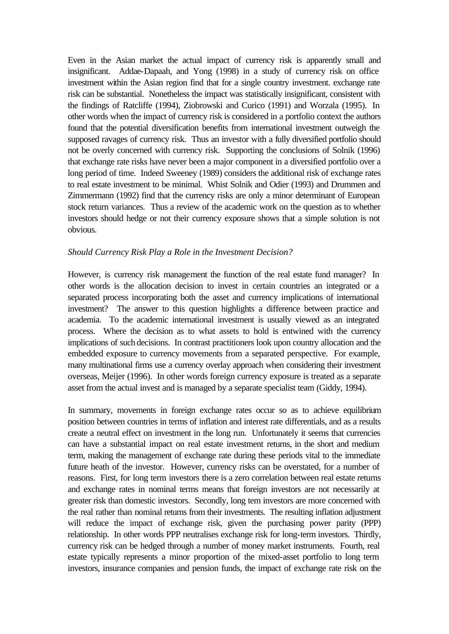Even in the Asian market the actual impact of currency risk is apparently small and insignificant. Addae-Dapaah, and Yong (1998) in a study of currency risk on office investment within the Asian region find that for a single country investment. exchange rate risk can be substantial. Nonetheless the impact was statistically insignificant, consistent with the findings of Ratcliffe (1994), Ziobrowski and Curico (1991) and Worzala (1995). In other words when the impact of currency risk is considered in a portfolio context the authors found that the potential diversification benefits from international investment outweigh the supposed ravages of currency risk. Thus an investor with a fully diversified portfolio should not be overly concerned with currency risk. Supporting the conclusions of Solnik (1996) that exchange rate risks have never been a major component in a diversified portfolio over a long period of time. Indeed Sweeney (1989) considers the additional risk of exchange rates to real estate investment to be minimal. Whist Solnik and Odier (1993) and Drummen and Zimmermann (1992) find that the currency risks are only a minor determinant of European stock return variances. Thus a review of the academic work on the question as to whether investors should hedge or not their currency exposure shows that a simple solution is not obvious.

### *Should Currency Risk Play a Role in the Investment Decision?*

However, is currency risk management the function of the real estate fund manager? In other words is the allocation decision to invest in certain countries an integrated or a separated process incorporating both the asset and currency implications of international investment? The answer to this question highlights a difference between practice and academia. To the academic international investment is usually viewed as an integrated process. Where the decision as to what assets to hold is entwined with the currency implications of such decisions. In contrast practitioners look upon country allocation and the embedded exposure to currency movements from a separated perspective. For example, many multinational firms use a currency overlay approach when considering their investment overseas, Meijer (1996). In other words foreign currency exposure is treated as a separate asset from the actual invest and is managed by a separate specialist team (Giddy, 1994).

In summary, movements in foreign exchange rates occur so as to achieve equilibrium position between countries in terms of inflation and interest rate differentials, and as a results create a neutral effect on investment in the long run. Unfortunately it seems that currencies can have a substantial impact on real estate investment returns, in the short and medium term, making the management of exchange rate during these periods vital to the immediate future heath of the investor. However, currency risks can be overstated, for a number of reasons. First, for long term investors there is a zero correlation between real estate returns and exchange rates in nominal terms means that foreign investors are not necessarily at greater risk than domestic investors. Secondly, long tem investors are more concerned with the real rather than nominal returns from their investments. The resulting inflation adjustment will reduce the impact of exchange risk, given the purchasing power parity (PPP) relationship. In other words PPP neutralises exchange risk for long-term investors. Thirdly, currency risk can be hedged through a number of money market instruments. Fourth, real estate typically represents a minor proportion of the mixed-asset portfolio to long term investors, insurance companies and pension funds, the impact of exchange rate risk on the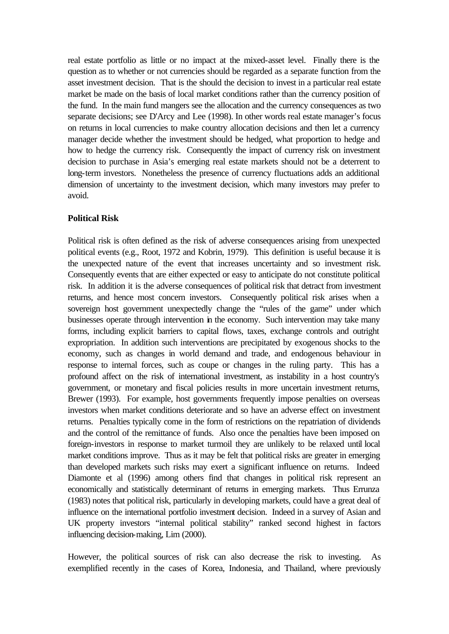real estate portfolio as little or no impact at the mixed-asset level. Finally there is the question as to whether or not currencies should be regarded as a separate function from the asset investment decision. That is the should the decision to invest in a particular real estate market be made on the basis of local market conditions rather than the currency position of the fund. In the main fund mangers see the allocation and the currency consequences as two separate decisions; see D'Arcy and Lee (1998). In other words real estate manager's focus on returns in local currencies to make country allocation decisions and then let a currency manager decide whether the investment should be hedged, what proportion to hedge and how to hedge the currency risk. Consequently the impact of currency risk on investment decision to purchase in Asia's emerging real estate markets should not be a deterrent to long-term investors. Nonetheless the presence of currency fluctuations adds an additional dimension of uncertainty to the investment decision, which many investors may prefer to avoid.

## **Political Risk**

Political risk is often defined as the risk of adverse consequences arising from unexpected political events (e.g., Root, 1972 and Kobrin, 1979). This definition is useful because it is the unexpected nature of the event that increases uncertainty and so investment risk. Consequently events that are either expected or easy to anticipate do not constitute political risk. In addition it is the adverse consequences of political risk that detract from investment returns, and hence most concern investors. Consequently political risk arises when a sovereign host government unexpectedly change the "rules of the game" under which businesses operate through intervention in the economy. Such intervention may take many forms, including explicit barriers to capital flows, taxes, exchange controls and outright expropriation. In addition such interventions are precipitated by exogenous shocks to the economy, such as changes in world demand and trade, and endogenous behaviour in response to internal forces, such as coupe or changes in the ruling party. This has a profound affect on the risk of international investment, as instability in a host country's government, or monetary and fiscal policies results in more uncertain investment returns, Brewer (1993). For example, host governments frequently impose penalties on overseas investors when market conditions deteriorate and so have an adverse effect on investment returns. Penalties typically come in the form of restrictions on the repatriation of dividends and the control of the remittance of funds. Also once the penalties have been imposed on foreign-investors in response to market turmoil they are unlikely to be relaxed until local market conditions improve. Thus as it may be felt that political risks are greater in emerging than developed markets such risks may exert a significant influence on returns. Indeed Diamonte et al (1996) among others find that changes in political risk represent an economically and statistically determinant of returns in emerging markets. Thus Errunza (1983) notes that political risk, particularly in developing markets, could have a great deal of influence on the international portfolio investment decision. Indeed in a survey of Asian and UK property investors "internal political stability" ranked second highest in factors influencing decision-making, Lim (2000).

However, the political sources of risk can also decrease the risk to investing. As exemplified recently in the cases of Korea, Indonesia, and Thailand, where previously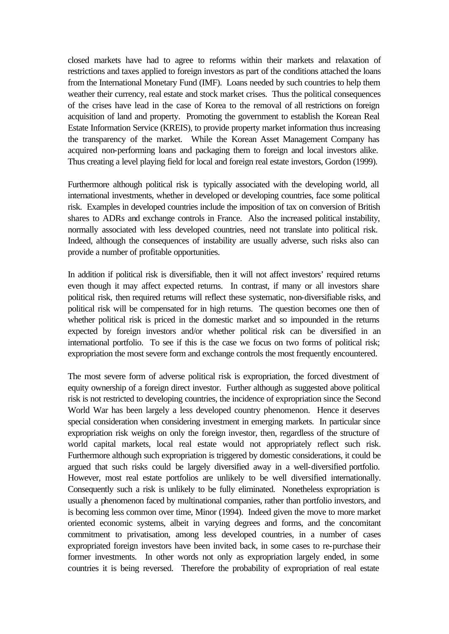closed markets have had to agree to reforms within their markets and relaxation of restrictions and taxes applied to foreign investors as part of the conditions attached the loans from the International Monetary Fund (IMF). Loans needed by such countries to help them weather their currency, real estate and stock market crises. Thus the political consequences of the crises have lead in the case of Korea to the removal of all restrictions on foreign acquisition of land and property. Promoting the government to establish the Korean Real Estate Information Service (KREIS), to provide property market information thus increasing the transparency of the market. While the Korean Asset Management Company has acquired non-performing loans and packaging them to foreign and local investors alike. Thus creating a level playing field for local and foreign real estate investors, Gordon (1999).

Furthermore although political risk is typically associated with the developing world, all international investments, whether in developed or developing countries, face some political risk. Examples in developed countries include the imposition of tax on conversion of British shares to ADRs and exchange controls in France. Also the increased political instability, normally associated with less developed countries, need not translate into political risk. Indeed, although the consequences of instability are usually adverse, such risks also can provide a number of profitable opportunities.

In addition if political risk is diversifiable, then it will not affect investors' required returns even though it may affect expected returns. In contrast, if many or all investors share political risk, then required returns will reflect these systematic, non-diversifiable risks, and political risk will be compensated for in high returns. The question becomes one then of whether political risk is priced in the domestic market and so impounded in the returns expected by foreign investors and/or whether political risk can be diversified in an international portfolio. To see if this is the case we focus on two forms of political risk; expropriation the most severe form and exchange controls the most frequently encountered.

The most severe form of adverse political risk is expropriation, the forced divestment of equity ownership of a foreign direct investor. Further although as suggested above political risk is not restricted to developing countries, the incidence of expropriation since the Second World War has been largely a less developed country phenomenon. Hence it deserves special consideration when considering investment in emerging markets. In particular since expropriation risk weighs on only the foreign investor, then, regardless of the structure of world capital markets, local real estate would not appropriately reflect such risk. Furthermore although such expropriation is triggered by domestic considerations, it could be argued that such risks could be largely diversified away in a well-diversified portfolio. However, most real estate portfolios are unlikely to be well diversified internationally. Consequently such a risk is unlikely to be fully eliminated. Nonetheless expropriation is usually a phenomenon faced by multinational companies, rather than portfolio investors, and is becoming less common over time, Minor (1994). Indeed given the move to more market oriented economic systems, albeit in varying degrees and forms, and the concomitant commitment to privatisation, among less developed countries, in a number of cases expropriated foreign investors have been invited back, in some cases to re-purchase their former investments. In other words not only as expropriation largely ended, in some countries it is being reversed. Therefore the probability of expropriation of real estate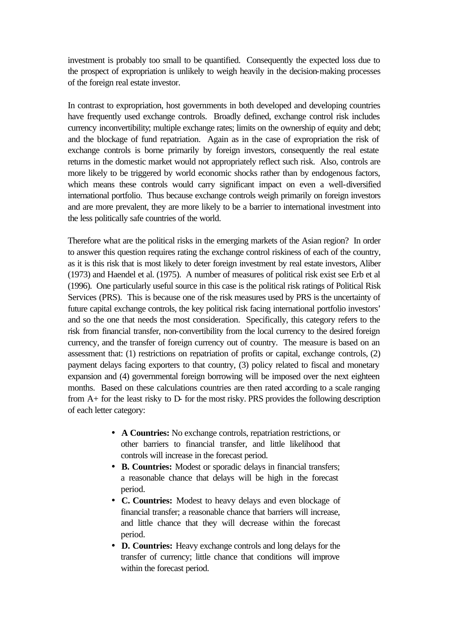investment is probably too small to be quantified. Consequently the expected loss due to the prospect of expropriation is unlikely to weigh heavily in the decision-making processes of the foreign real estate investor.

In contrast to expropriation, host governments in both developed and developing countries have frequently used exchange controls. Broadly defined, exchange control risk includes currency inconvertibility; multiple exchange rates; limits on the ownership of equity and debt; and the blockage of fund repatriation. Again as in the case of expropriation the risk of exchange controls is borne primarily by foreign investors, consequently the real estate returns in the domestic market would not appropriately reflect such risk. Also, controls are more likely to be triggered by world economic shocks rather than by endogenous factors, which means these controls would carry significant impact on even a well-diversified international portfolio. Thus because exchange controls weigh primarily on foreign investors and are more prevalent, they are more likely to be a barrier to international investment into the less politically safe countries of the world.

Therefore what are the political risks in the emerging markets of the Asian region? In order to answer this question requires rating the exchange control riskiness of each of the country, as it is this risk that is most likely to deter foreign investment by real estate investors, Aliber (1973) and Haendel et al. (1975). A number of measures of political risk exist see Erb et al (1996). One particularly useful source in this case is the political risk ratings of Political Risk Services (PRS). This is because one of the risk measures used by PRS is the uncertainty of future capital exchange controls, the key political risk facing international portfolio investors' and so the one that needs the most consideration. Specifically, this category refers to the risk from financial transfer, non-convertibility from the local currency to the desired foreign currency, and the transfer of foreign currency out of country. The measure is based on an assessment that: (1) restrictions on repatriation of profits or capital, exchange controls, (2) payment delays facing exporters to that country, (3) policy related to fiscal and monetary expansion and (4) governmental foreign borrowing will be imposed over the next eighteen months. Based on these calculations countries are then rated according to a scale ranging from A+ for the least risky to D- for the most risky. PRS provides the following description of each letter category:

- **A Countries:** No exchange controls, repatriation restrictions, or other barriers to financial transfer, and little likelihood that controls will increase in the forecast period.
- **B. Countries:** Modest or sporadic delays in financial transfers; a reasonable chance that delays will be high in the forecast period.
- **C. Countries:** Modest to heavy delays and even blockage of financial transfer; a reasonable chance that barriers will increase, and little chance that they will decrease within the forecast period.
- **D. Countries:** Heavy exchange controls and long delays for the transfer of currency; little chance that conditions will improve within the forecast period.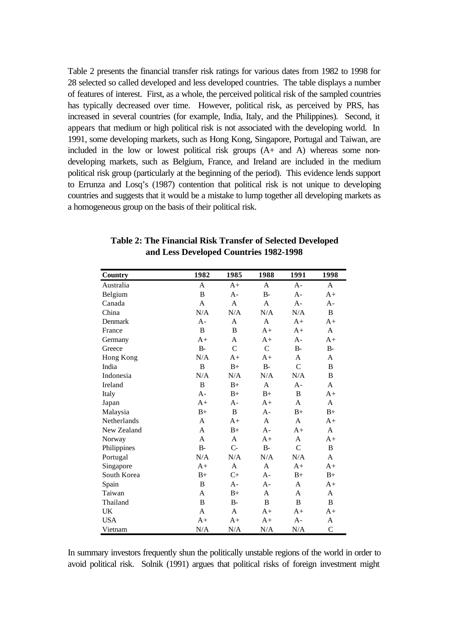Table 2 presents the financial transfer risk ratings for various dates from 1982 to 1998 for 28 selected so called developed and less developed countries. The table displays a number of features of interest. First, as a whole, the perceived political risk of the sampled countries has typically decreased over time. However, political risk, as perceived by PRS, has increased in several countries (for example, India, Italy, and the Philippines). Second, it appears that medium or high political risk is not associated with the developing world. In 1991, some developing markets, such as Hong Kong, Singapore, Portugal and Taiwan, are included in the low or lowest political risk groups (A+ and A) whereas some nondeveloping markets, such as Belgium, France, and Ireland are included in the medium political risk group (particularly at the beginning of the period). This evidence lends support to Errunza and Losq's (1987) contention that political risk is not unique to developing countries and suggests that it would be a mistake to lump together all developing markets as a homogeneous group on the basis of their political risk.

| <b>Country</b> | 1982        | 1985          | 1988          | 1991           | 1998         |
|----------------|-------------|---------------|---------------|----------------|--------------|
| Australia      | A           | $A+$          | A             | $A -$          | $\mathsf{A}$ |
| Belgium        | B           | A-            | $B -$         | $A -$          | $A+$         |
| Canada         | A           | A             | $\mathsf{A}$  | $A -$          | $A -$        |
| China          | N/A         | N/A           | N/A           | N/A            | B            |
| Denmark        | $A -$       | A             | A             | $A+$           | $A+$         |
| France         | B           | B             | $A+$          | $A+$           | A            |
| Germany        | $A+$        | $\mathsf{A}$  | $A+$          | $A -$          | $A+$         |
| Greece         | $B -$       | $\mathcal{C}$ | $\mathcal{C}$ | $B-$           | $B -$        |
| Hong Kong      | N/A         | $A+$          | $A+$          | A              | A            |
| India          | B           | $B+$          | $B -$         | $\overline{C}$ | B            |
| Indonesia      | N/A         | N/A           | N/A           | N/A            | B            |
| Ireland        | $\mathbf B$ | $B+$          | A             | $A -$          | $\mathsf{A}$ |
| Italy          | $A -$       | $B+$          | $B+$          | B              | $A+$         |
| Japan          | $A+$        | A-            | $A+$          | A              | A            |
| Malaysia       | $B+$        | B             | $A -$         | $B+$           | $B+$         |
| Netherlands    | A           | $A+$          | A             | A              | $A+$         |
| New Zealand    | A           | $B+$          | $A -$         | $A+$           | $\mathsf{A}$ |
| Norway         | A           | A             | $A+$          | A              | $A+$         |
| Philippines    | $B-$        | $C -$         | $B-$          | $\mathcal{C}$  | B            |
| Portugal       | N/A         | N/A           | N/A           | N/A            | A            |
| Singapore      | $A+$        | A             | A             | $A+$           | $A+$         |
| South Korea    | $B+$        | $C+$          | $A -$         | $B+$           | $B+$         |
| Spain          | B           | A-            | $A -$         | A              | $A+$         |
| Taiwan         | A           | $B+$          | A             | A              | A            |
| Thailand       | $\mathbf B$ | $B-$          | B             | B              | B            |
| UK             | A           | A             | $A+$          | $A+$           | $A+$         |
| <b>USA</b>     | $A+$        | $A+$          | $A+$          | $A -$          | A            |
| Vietnam        | N/A         | N/A           | N/A           | N/A            | $\mathsf{C}$ |

**Table 2: The Financial Risk Transfer of Selected Developed and Less Developed Countries 1982-1998**

In summary investors frequently shun the politically unstable regions of the world in order to avoid political risk. Solnik (1991) argues that political risks of foreign investment might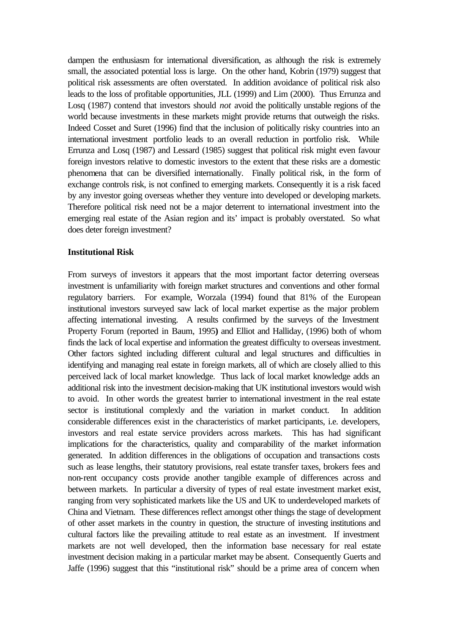dampen the enthusiasm for international diversification, as although the risk is extremely small, the associated potential loss is large. On the other hand, Kobrin (1979) suggest that political risk assessments are often overstated. In addition avoidance of political risk also leads to the loss of profitable opportunities, JLL (1999) and Lim (2000). Thus Errunza and Losq (1987) contend that investors should *not* avoid the politically unstable regions of the world because investments in these markets might provide returns that outweigh the risks. Indeed Cosset and Suret (1996) find that the inclusion of politically risky countries into an international investment portfolio leads to an overall reduction in portfolio risk. While Errunza and Losq (1987) and Lessard (1985) suggest that political risk might even favour foreign investors relative to domestic investors to the extent that these risks are a domestic phenomena that can be diversified internationally. Finally political risk, in the form of exchange controls risk, is not confined to emerging markets. Consequently it is a risk faced by any investor going overseas whether they venture into developed or developing markets. Therefore political risk need not be a major deterrent to international investment into the emerging real estate of the Asian region and its' impact is probably overstated. So what does deter foreign investment?

## **Institutional Risk**

From surveys of investors it appears that the most important factor deterring overseas investment is unfamiliarity with foreign market structures and conventions and other formal regulatory barriers. For example, Worzala (1994) found that 81% of the European institutional investors surveyed saw lack of local market expertise as the major problem affecting international investing. A results confirmed by the surveys of the Investment Property Forum (reported in Baum, 1995**)** and Elliot and Halliday, (1996) both of whom finds the lack of local expertise and information the greatest difficulty to overseas investment. Other factors sighted including different cultural and legal structures and difficulties in identifying and managing real estate in foreign markets, all of which are closely allied to this perceived lack of local market knowledge. Thus lack of local market knowledge adds an additional risk into the investment decision-making that UK institutional investors would wish to avoid. In other words the greatest barrier to international investment in the real estate sector is institutional complexly and the variation in market conduct. In addition considerable differences exist in the characteristics of market participants, i.e. developers, investors and real estate service providers across markets. This has had significant implications for the characteristics, quality and comparability of the market information generated. In addition differences in the obligations of occupation and transactions costs such as lease lengths, their statutory provisions, real estate transfer taxes, brokers fees and non-rent occupancy costs provide another tangible example of differences across and between markets. In particular a diversity of types of real estate investment market exist, ranging from very sophisticated markets like the US and UK to underdeveloped markets of China and Vietnam. These differences reflect amongst other things the stage of development of other asset markets in the country in question, the structure of investing institutions and cultural factors like the prevailing attitude to real estate as an investment. If investment markets are not well developed, then the information base necessary for real estate investment decision making in a particular market may be absent. Consequently Guerts and Jaffe (1996) suggest that this "institutional risk" should be a prime area of concern when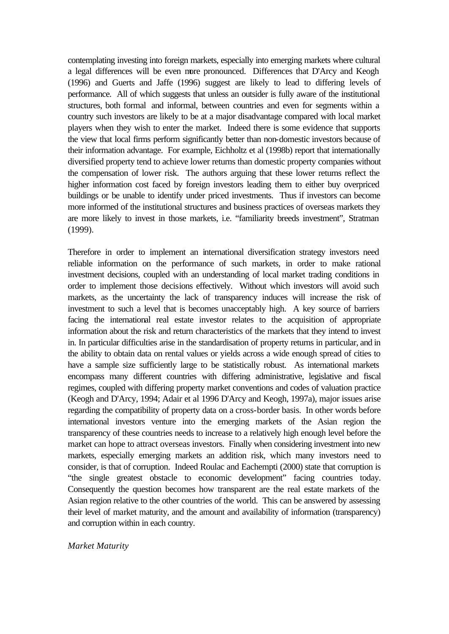contemplating investing into foreign markets, especially into emerging markets where cultural a legal differences will be even more pronounced. Differences that D'Arcy and Keogh (1996) and Guerts and Jaffe (1996) suggest are likely to lead to differing levels of performance. All of which suggests that unless an outsider is fully aware of the institutional structures, both formal and informal, between countries and even for segments within a country such investors are likely to be at a major disadvantage compared with local market players when they wish to enter the market. Indeed there is some evidence that supports the view that local firms perform significantly better than non-domestic investors because of their information advantage. For example, Eichholtz et al (1998b) report that internationally diversified property tend to achieve lower returns than domestic property companies without the compensation of lower risk. The authors arguing that these lower returns reflect the higher information cost faced by foreign investors leading them to either buy overpriced buildings or be unable to identify under priced investments. Thus if investors can become more informed of the institutional structures and business practices of overseas markets they are more likely to invest in those markets, i.e. "familiarity breeds investment", Stratman (1999).

Therefore in order to implement an international diversification strategy investors need reliable information on the performance of such markets, in order to make rational investment decisions, coupled with an understanding of local market trading conditions in order to implement those decisions effectively. Without which investors will avoid such markets, as the uncertainty the lack of transparency induces will increase the risk of investment to such a level that is becomes unacceptably high. A key source of barriers facing the international real estate investor relates to the acquisition of appropriate information about the risk and return characteristics of the markets that they intend to invest in. In particular difficulties arise in the standardisation of property returns in particular, and in the ability to obtain data on rental values or yields across a wide enough spread of cities to have a sample size sufficiently large to be statistically robust. As international markets encompass many different countries with differing administrative, legislative and fiscal regimes, coupled with differing property market conventions and codes of valuation practice (Keogh and D'Arcy, 1994; Adair et al 1996 D'Arcy and Keogh, 1997a), major issues arise regarding the compatibility of property data on a cross-border basis. In other words before international investors venture into the emerging markets of the Asian region the transparency of these countries needs to increase to a relatively high enough level before the market can hope to attract overseas investors. Finally when considering investment into new markets, especially emerging markets an addition risk, which many investors need to consider, is that of corruption. Indeed Roulac and Eachempti (2000) state that corruption is "the single greatest obstacle to economic development" facing countries today. Consequently the question becomes how transparent are the real estate markets of the Asian region relative to the other countries of the world. This can be answered by assessing their level of market maturity, and the amount and availability of information (transparency) and corruption within in each country.

#### *Market Maturity*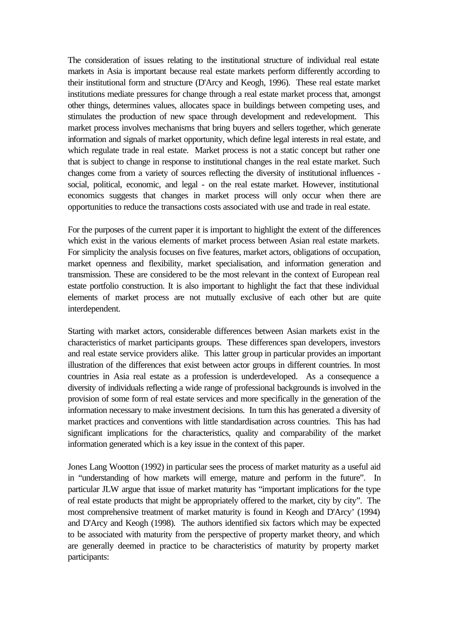The consideration of issues relating to the institutional structure of individual real estate markets in Asia is important because real estate markets perform differently according to their institutional form and structure (D'Arcy and Keogh, 1996). These real estate market institutions mediate pressures for change through a real estate market process that, amongst other things, determines values, allocates space in buildings between competing uses, and stimulates the production of new space through development and redevelopment. This market process involves mechanisms that bring buyers and sellers together, which generate information and signals of market opportunity, which define legal interests in real estate, and which regulate trade in real estate. Market process is not a static concept but rather one that is subject to change in response to institutional changes in the real estate market. Such changes come from a variety of sources reflecting the diversity of institutional influences social, political, economic, and legal - on the real estate market. However, institutional economics suggests that changes in market process will only occur when there are opportunities to reduce the transactions costs associated with use and trade in real estate.

For the purposes of the current paper it is important to highlight the extent of the differences which exist in the various elements of market process between Asian real estate markets. For simplicity the analysis focuses on five features, market actors, obligations of occupation, market openness and flexibility, market specialisation, and information generation and transmission. These are considered to be the most relevant in the context of European real estate portfolio construction. It is also important to highlight the fact that these individual elements of market process are not mutually exclusive of each other but are quite interdependent.

Starting with market actors, considerable differences between Asian markets exist in the characteristics of market participants groups. These differences span developers, investors and real estate service providers alike. This latter group in particular provides an important illustration of the differences that exist between actor groups in different countries. In most countries in Asia real estate as a profession is underdeveloped. As a consequence a diversity of individuals reflecting a wide range of professional backgrounds is involved in the provision of some form of real estate services and more specifically in the generation of the information necessary to make investment decisions. In turn this has generated a diversity of market practices and conventions with little standardisation across countries. This has had significant implications for the characteristics, quality and comparability of the market information generated which is a key issue in the context of this paper.

Jones Lang Wootton (1992) in particular sees the process of market maturity as a useful aid in "understanding of how markets will emerge, mature and perform in the future". In particular JLW argue that issue of market maturity has "important implications for the type of real estate products that might be appropriately offered to the market, city by city". The most comprehensive treatment of market maturity is found in Keogh and D'Arcy' (1994) and D'Arcy and Keogh (1998). The authors identified six factors which may be expected to be associated with maturity from the perspective of property market theory, and which are generally deemed in practice to be characteristics of maturity by property market participants: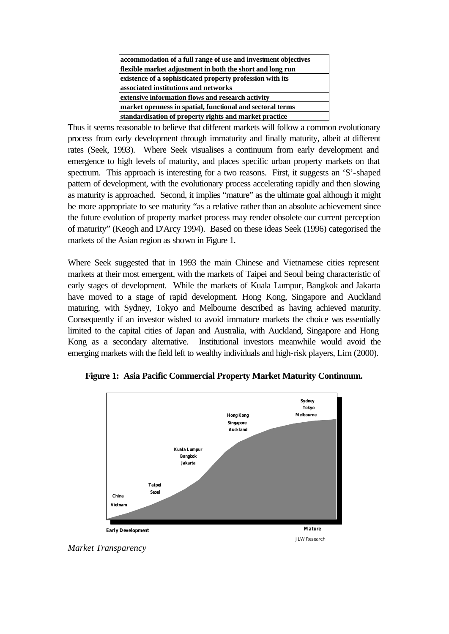| accommodation of a full range of use and investment objectives |
|----------------------------------------------------------------|
| flexible market adjustment in both the short and long run      |
| existence of a sophisticated property profession with its      |
| associated institutions and networks                           |
| extensive information flows and research activity              |
| market openness in spatial, functional and sectoral terms      |
| standardisation of property rights and market practice         |

Thus it seems reasonable to believe that different markets will follow a common evolutionary process from early development through immaturity and finally maturity, albeit at different rates (Seek, 1993). Where Seek visualises a continuum from early development and emergence to high levels of maturity, and places specific urban property markets on that spectrum. This approach is interesting for a two reasons. First, it suggests an 'S'-shaped pattern of development, with the evolutionary process accelerating rapidly and then slowing as maturity is approached. Second, it implies "mature" as the ultimate goal although it might be more appropriate to see maturity "as a relative rather than an absolute achievement since the future evolution of property market process may render obsolete our current perception of maturity" (Keogh and D'Arcy 1994). Based on these ideas Seek (1996) categorised the markets of the Asian region as shown in Figure 1.

Where Seek suggested that in 1993 the main Chinese and Vietnamese cities represent markets at their most emergent, with the markets of Taipei and Seoul being characteristic of early stages of development. While the markets of Kuala Lumpur, Bangkok and Jakarta have moved to a stage of rapid development. Hong Kong, Singapore and Auckland maturing, with Sydney, Tokyo and Melbourne described as having achieved maturity. Consequently if an investor wished to avoid immature markets the choice was essentially limited to the capital cities of Japan and Australia, with Auckland, Singapore and Hong Kong as a secondary alternative. Institutional investors meanwhile would avoid the emerging markets with the field left to wealthy individuals and high-risk players, Lim (2000).



**Figure 1: Asia Pacific Commercial Property Market Maturity Continuum.**

*Market Transparency*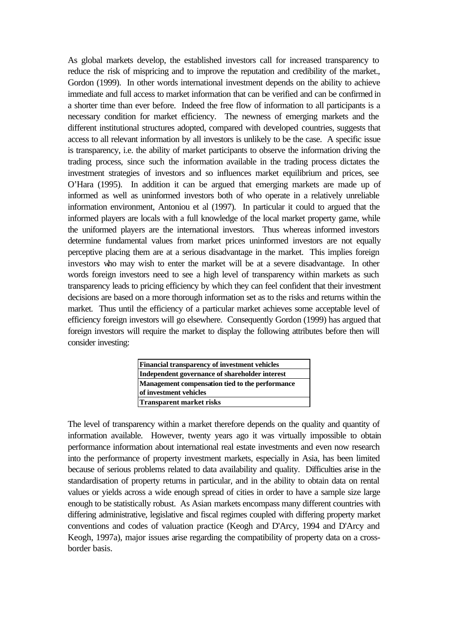As global markets develop, the established investors call for increased transparency to reduce the risk of mispricing and to improve the reputation and credibility of the market., Gordon (1999). In other words international investment depends on the ability to achieve immediate and full access to market information that can be verified and can be confirmed in a shorter time than ever before. Indeed the free flow of information to all participants is a necessary condition for market efficiency. The newness of emerging markets and the different institutional structures adopted, compared with developed countries, suggests that access to all relevant information by all investors is unlikely to be the case. A specific issue is transparency, i.e. the ability of market participants to observe the information driving the trading process, since such the information available in the trading process dictates the investment strategies of investors and so influences market equilibrium and prices, see O'Hara (1995). In addition it can be argued that emerging markets are made up of informed as well as uninformed investors both of who operate in a relatively unreliable information environment, Antoniou et al (1997). In particular it could to argued that the informed players are locals with a full knowledge of the local market property game, while the uniformed players are the international investors. Thus whereas informed investors determine fundamental values from market prices uninformed investors are not equally perceptive placing them are at a serious disadvantage in the market. This implies foreign investors who may wish to enter the market will be at a severe disadvantage. In other words foreign investors need to see a high level of transparency within markets as such transparency leads to pricing efficiency by which they can feel confident that their investment decisions are based on a more thorough information set as to the risks and returns within the market. Thus until the efficiency of a particular market achieves some acceptable level of efficiency foreign investors will go elsewhere. Consequently Gordon (1999) has argued that foreign investors will require the market to display the following attributes before then will consider investing:

| <b>Financial transparency of investment vehicles</b> |
|------------------------------------------------------|
| Independent governance of shareholder interest       |
| Management compensation tied to the performance      |
| of investment vehicles                               |
| <b>Transparent market risks</b>                      |

The level of transparency within a market therefore depends on the quality and quantity of information available. However, twenty years ago it was virtually impossible to obtain performance information about international real estate investments and even now research into the performance of property investment markets, especially in Asia, has been limited because of serious problems related to data availability and quality. Difficulties arise in the standardisation of property returns in particular, and in the ability to obtain data on rental values or yields across a wide enough spread of cities in order to have a sample size large enough to be statistically robust. As Asian markets encompass many different countries with differing administrative, legislative and fiscal regimes coupled with differing property market conventions and codes of valuation practice (Keogh and D'Arcy, 1994 and D'Arcy and Keogh, 1997a), major issues arise regarding the compatibility of property data on a crossborder basis.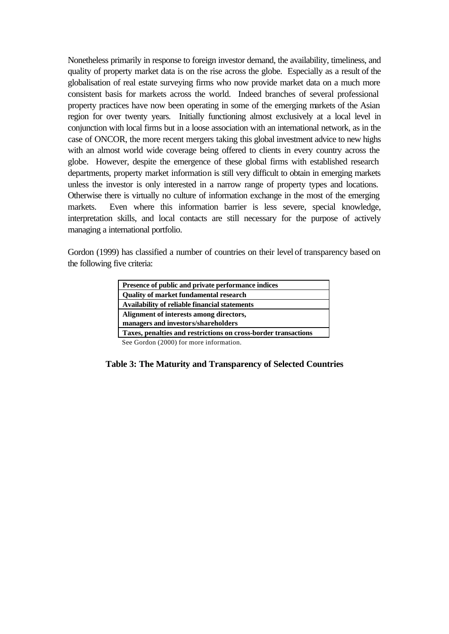Nonetheless primarily in response to foreign investor demand, the availability, timeliness, and quality of property market data is on the rise across the globe. Especially as a result of the globalisation of real estate surveying firms who now provide market data on a much more consistent basis for markets across the world. Indeed branches of several professional property practices have now been operating in some of the emerging markets of the Asian region for over twenty years. Initially functioning almost exclusively at a local level in conjunction with local firms but in a loose association with an international network, as in the case of ONCOR, the more recent mergers taking this global investment advice to new highs with an almost world wide coverage being offered to clients in every country across the globe. However, despite the emergence of these global firms with established research departments, property market information is still very difficult to obtain in emerging markets unless the investor is only interested in a narrow range of property types and locations. Otherwise there is virtually no culture of information exchange in the most of the emerging markets. Even where this information barrier is less severe, special knowledge, interpretation skills, and local contacts are still necessary for the purpose of actively managing a international portfolio.

Gordon (1999) has classified a number of countries on their level of transparency based on the following five criteria:

| Presence of public and private performance indices             |
|----------------------------------------------------------------|
| <b>Ouality of market fundamental research</b>                  |
| Availability of reliable financial statements                  |
| Alignment of interests among directors,                        |
| managers and investors/shareholders                            |
| Taxes, penalties and restrictions on cross-border transactions |

See Gordon (2000) for more information.

#### **Table 3: The Maturity and Transparency of Selected Countries**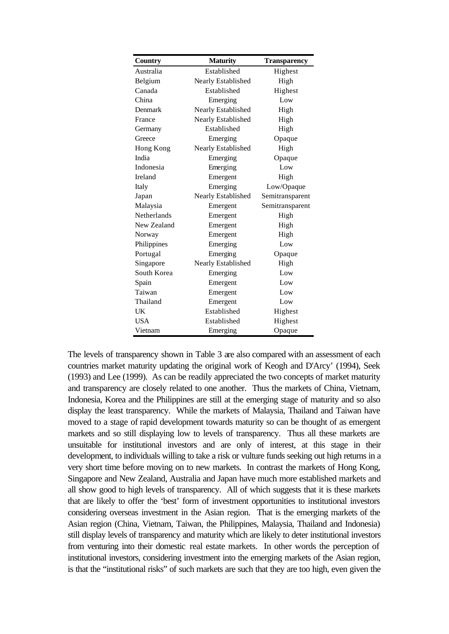| Country     | <b>Maturity</b>    | <b>Transparency</b> |
|-------------|--------------------|---------------------|
| Australia   | Established        | Highest             |
| Belgium     | Nearly Established | High                |
| Canada      | Established        | Highest             |
| China       | Emerging           | Low                 |
| Denmark     | Nearly Established | High                |
| France      | Nearly Established | High                |
| Germany     | Established        | High                |
| Greece      | Emerging           | Opaque              |
| Hong Kong   | Nearly Established | High                |
| India       | Emerging           | Opaque              |
| Indonesia   | Emerging           | Low                 |
| Ireland     | Emergent           | High                |
| Italy       | Emerging           | Low/Opaque          |
| Japan       | Nearly Established | Semitransparent     |
| Malaysia    | Emergent           | Semitransparent     |
| Netherlands | Emergent           | High                |
| New Zealand | Emergent           | High                |
| Norway      | Emergent           | High                |
| Philippines | Emerging           | Low                 |
| Portugal    | Emerging           | Opaque              |
| Singapore   | Nearly Established | High                |
| South Korea | Emerging           | Low                 |
| Spain       | Emergent           | Low                 |
| Taiwan      | Emergent           | Low                 |
| Thailand    | Emergent           | Low                 |
| UK          | Established        | Highest             |
| <b>USA</b>  | Established        | Highest             |
| Vietnam     | Emerging           | Opaque              |

The levels of transparency shown in Table 3 are also compared with an assessment of each countries market maturity updating the original work of Keogh and D'Arcy' (1994), Seek (1993) and Lee (1999). As can be readily appreciated the two concepts of market maturity and transparency are closely related to one another. Thus the markets of China, Vietnam, Indonesia, Korea and the Philippines are still at the emerging stage of maturity and so also display the least transparency. While the markets of Malaysia, Thailand and Taiwan have moved to a stage of rapid development towards maturity so can be thought of as emergent markets and so still displaying low to levels of transparency. Thus all these markets are unsuitable for institutional investors and are only of interest, at this stage in their development, to individuals willing to take a risk or vulture funds seeking out high returns in a very short time before moving on to new markets. In contrast the markets of Hong Kong, Singapore and New Zealand, Australia and Japan have much more established markets and all show good to high levels of transparency. All of which suggests that it is these markets that are likely to offer the 'best' form of investment opportunities to institutional investors considering overseas investment in the Asian region. That is the emerging markets of the Asian region (China, Vietnam, Taiwan, the Philippines, Malaysia, Thailand and Indonesia) still display levels of transparency and maturity which are likely to deter institutional investors from venturing into their domestic real estate markets. In other words the perception of institutional investors, considering investment into the emerging markets of the Asian region, is that the "institutional risks" of such markets are such that they are too high, even given the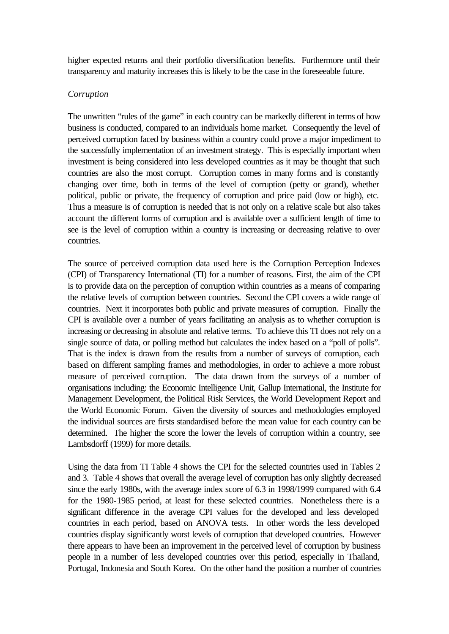higher expected returns and their portfolio diversification benefits. Furthermore until their transparency and maturity increases this is likely to be the case in the foreseeable future.

## *Corruption*

The unwritten "rules of the game" in each country can be markedly different in terms of how business is conducted, compared to an individuals home market. Consequently the level of perceived corruption faced by business within a country could prove a major impediment to the successfully implementation of an investment strategy. This is especially important when investment is being considered into less developed countries as it may be thought that such countries are also the most corrupt. Corruption comes in many forms and is constantly changing over time, both in terms of the level of corruption (petty or grand), whether political, public or private, the frequency of corruption and price paid (low or high), etc. Thus a measure is of corruption is needed that is not only on a relative scale but also takes account the different forms of corruption and is available over a sufficient length of time to see is the level of corruption within a country is increasing or decreasing relative to over countries.

The source of perceived corruption data used here is the Corruption Perception Indexes (CPI) of Transparency International (TI) for a number of reasons. First, the aim of the CPI is to provide data on the perception of corruption within countries as a means of comparing the relative levels of corruption between countries. Second the CPI covers a wide range of countries. Next it incorporates both public and private measures of corruption. Finally the CPI is available over a number of years facilitating an analysis as to whether corruption is increasing or decreasing in absolute and relative terms. To achieve this TI does not rely on a single source of data, or polling method but calculates the index based on a "poll of polls". That is the index is drawn from the results from a number of surveys of corruption, each based on different sampling frames and methodologies, in order to achieve a more robust measure of perceived corruption. The data drawn from the surveys of a number of organisations including: the Economic Intelligence Unit, Gallup International, the Institute for Management Development, the Political Risk Services, the World Development Report and the World Economic Forum. Given the diversity of sources and methodologies employed the individual sources are firsts standardised before the mean value for each country can be determined. The higher the score the lower the levels of corruption within a country, see Lambsdorff (1999) for more details.

Using the data from TI Table 4 shows the CPI for the selected countries used in Tables 2 and 3. Table 4 shows that overall the average level of corruption has only slightly decreased since the early 1980s, with the average index score of 6.3 in 1998/1999 compared with 6.4 for the 1980-1985 period, at least for these selected countries. Nonetheless there is a significant difference in the average CPI values for the developed and less developed countries in each period, based on ANOVA tests. In other words the less developed countries display significantly worst levels of corruption that developed countries. However there appears to have been an improvement in the perceived level of corruption by business people in a number of less developed countries over this period, especially in Thailand, Portugal, Indonesia and South Korea. On the other hand the position a number of countries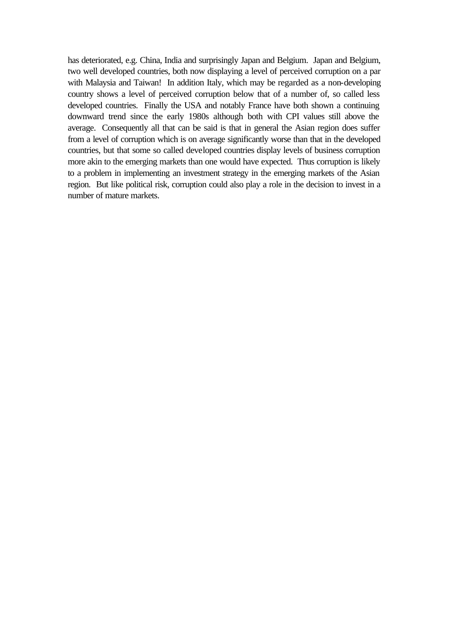has deteriorated, e.g. China, India and surprisingly Japan and Belgium. Japan and Belgium, two well developed countries, both now displaying a level of perceived corruption on a par with Malaysia and Taiwan! In addition Italy, which may be regarded as a non-developing country shows a level of perceived corruption below that of a number of, so called less developed countries. Finally the USA and notably France have both shown a continuing downward trend since the early 1980s although both with CPI values still above the average. Consequently all that can be said is that in general the Asian region does suffer from a level of corruption which is on average significantly worse than that in the developed countries, but that some so called developed countries display levels of business corruption more akin to the emerging markets than one would have expected. Thus corruption is likely to a problem in implementing an investment strategy in the emerging markets of the Asian region. But like political risk, corruption could also play a role in the decision to invest in a number of mature markets.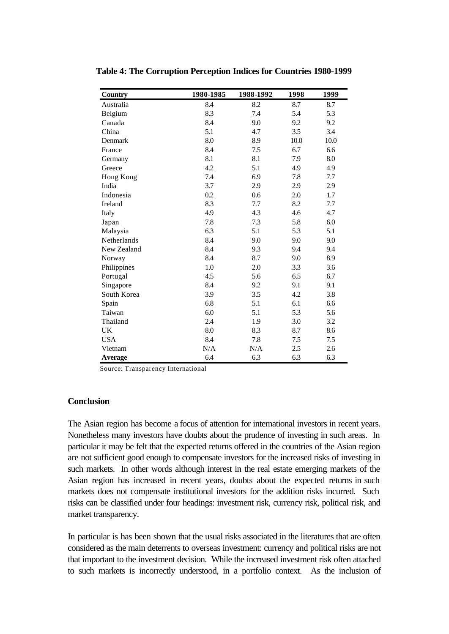| Country        | 1980-1985 | 1988-1992 | 1998 | 1999 |
|----------------|-----------|-----------|------|------|
| Australia      | 8.4       | 8.2       | 8.7  | 8.7  |
| Belgium        | 8.3       | 7.4       | 5.4  | 5.3  |
| Canada         | 8.4       | 9.0       | 9.2  | 9.2  |
| China          | 5.1       | 4.7       | 3.5  | 3.4  |
| Denmark        | 8.0       | 8.9       | 10.0 | 10.0 |
| France         | 8.4       | 7.5       | 6.7  | 6.6  |
| Germany        | 8.1       | 8.1       | 7.9  | 8.0  |
| Greece         | 4.2       | 5.1       | 4.9  | 4.9  |
| Hong Kong      | 7.4       | 6.9       | 7.8  | 7.7  |
| India          | 3.7       | 2.9       | 2.9  | 2.9  |
| Indonesia      | 0.2       | 0.6       | 2.0  | 1.7  |
| Ireland        | 8.3       | 7.7       | 8.2  | 7.7  |
| Italy          | 4.9       | 4.3       | 4.6  | 4.7  |
| Japan          | 7.8       | 7.3       | 5.8  | 6.0  |
| Malaysia       | 6.3       | 5.1       | 5.3  | 5.1  |
| Netherlands    | 8.4       | 9.0       | 9.0  | 9.0  |
| New Zealand    | 8.4       | 9.3       | 9.4  | 9.4  |
| Norway         | 8.4       | 8.7       | 9.0  | 8.9  |
| Philippines    | 1.0       | 2.0       | 3.3  | 3.6  |
| Portugal       | 4.5       | 5.6       | 6.5  | 6.7  |
| Singapore      | 8.4       | 9.2       | 9.1  | 9.1  |
| South Korea    | 3.9       | 3.5       | 4.2  | 3.8  |
| Spain          | 6.8       | 5.1       | 6.1  | 6.6  |
| Taiwan         | 6.0       | 5.1       | 5.3  | 5.6  |
| Thailand       | 2.4       | 1.9       | 3.0  | 3.2  |
| UK             | 8.0       | 8.3       | 8.7  | 8.6  |
| <b>USA</b>     | 8.4       | 7.8       | 7.5  | 7.5  |
| Vietnam        | N/A       | N/A       | 2.5  | 2.6  |
| <b>Average</b> | 6.4       | 6.3       | 6.3  | 6.3  |

**Table 4: The Corruption Perception Indices for Countries 1980-1999**

Source: Transparency International

## **Conclusion**

The Asian region has become a focus of attention for international investors in recent years. Nonetheless many investors have doubts about the prudence of investing in such areas. In particular it may be felt that the expected returns offered in the countries of the Asian region are not sufficient good enough to compensate investors for the increased risks of investing in such markets. In other words although interest in the real estate emerging markets of the Asian region has increased in recent years, doubts about the expected returns in such markets does not compensate institutional investors for the addition risks incurred. Such risks can be classified under four headings: investment risk, currency risk, political risk, and market transparency.

In particular is has been shown that the usual risks associated in the literatures that are often considered as the main deterrents to overseas investment: currency and political risks are not that important to the investment decision. While the increased investment risk often attached to such markets is incorrectly understood, in a portfolio context. As the inclusion of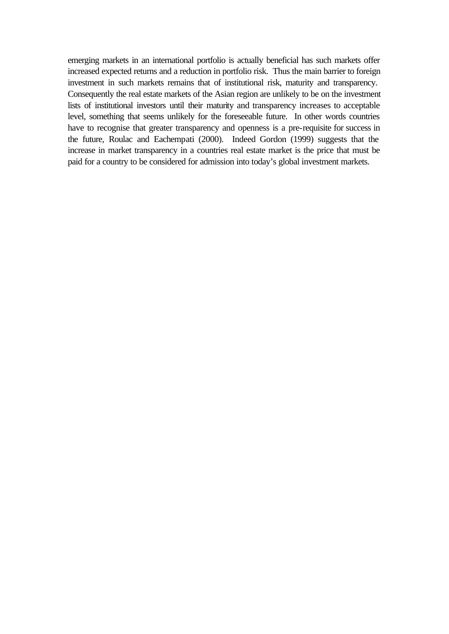emerging markets in an international portfolio is actually beneficial has such markets offer increased expected returns and a reduction in portfolio risk. Thus the main barrier to foreign investment in such markets remains that of institutional risk, maturity and transparency. Consequently the real estate markets of the Asian region are unlikely to be on the investment lists of institutional investors until their maturity and transparency increases to acceptable level, something that seems unlikely for the foreseeable future. In other words countries have to recognise that greater transparency and openness is a pre-requisite for success in the future, Roulac and Eachempati (2000). Indeed Gordon (1999) suggests that the increase in market transparency in a countries real estate market is the price that must be paid for a country to be considered for admission into today's global investment markets.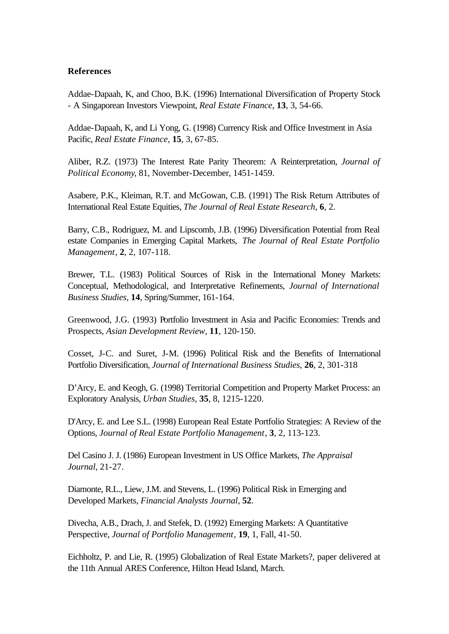### **References**

Addae-Dapaah, K, and Choo, B.K. (1996) International Diversification of Property Stock - A Singaporean Investors Viewpoint, *Real Estate Finance*, **13**, 3, 54-66.

Addae-Dapaah, K, and Li Yong, G. (1998) Currency Risk and Office Investment in Asia Pacific, *Real Estate Finance*, **15**, 3, 67-85.

Aliber, R.Z. (1973) The Interest Rate Parity Theorem: A Reinterpretation, *Journal of Political Economy*, 81, November-December, 1451-1459.

Asabere, P.K., Kleiman, R.T. and McGowan, C.B. (1991) The Risk Return Attributes of International Real Estate Equities, *The Journal of Real Estate Research*, **6**, 2.

Barry, C.B., Rodriguez, M. and Lipscomb, J.B. (1996) Diversification Potential from Real estate Companies in Emerging Capital Markets, *The Journal of Real Estate Portfolio Management*, **2**, 2, 107-118.

Brewer, T.L. (1983) Political Sources of Risk in the International Money Markets: Conceptual, Methodological, and Interpretative Refinements, *Journal of International Business Studies*, **14**, Spring/Summer, 161-164.

Greenwood, J.G. (1993) Portfolio Investment in Asia and Pacific Economies: Trends and Prospects, *Asian Development Review*, **11**, 120-150.

Cosset, J-C. and Suret, J-M. (1996) Political Risk and the Benefits of International Portfolio Diversification, *Journal of International Business Studies*, **26**, 2, 301-318

D'Arcy, E. and Keogh, G. (1998) Territorial Competition and Property Market Process: an Exploratory Analysis, *Urban Studies*, **35**, 8, 1215-1220.

D'Arcy, E. and Lee S.L. (1998) European Real Estate Portfolio Strategies: A Review of the Options, *Journal of Real Estate Portfolio Management*, **3**, 2, 113-123.

Del Casino J. J. (1986) European Investment in US Office Markets, *The Appraisal Journal*, 21-27.

Diamonte, R.L., Liew, J.M. and Stevens, L. (1996) Political Risk in Emerging and Developed Markets, *Financial Analysts Journal*, **52**.

Divecha, A.B., Drach, J. and Stefek, D. (1992) Emerging Markets: A Quantitative Perspective, *Journal of Portfolio Management*, **19**, 1, Fall, 41-50.

Eichholtz, P. and Lie, R. (1995) Globalization of Real Estate Markets?, paper delivered at the 11th Annual ARES Conference, Hilton Head Island, March.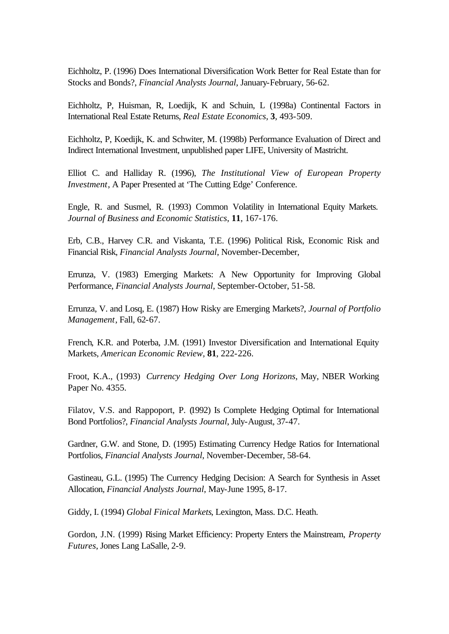Eichholtz, P. (1996) Does International Diversification Work Better for Real Estate than for Stocks and Bonds?, *Financial Analysts Journal*, January-February, 56-62.

Eichholtz, P, Huisman, R, Loedijk, K and Schuin, L (1998a) Continental Factors in International Real Estate Returns, *Real Estate Economics*, **3**, 493-509.

Eichholtz, P, Koedijk, K. and Schwiter, M. (1998b) Performance Evaluation of Direct and Indirect International Investment, unpublished paper LIFE, University of Mastricht.

Elliot C. and Halliday R. (1996), *The Institutional View of European Property Investment*, A Paper Presented at 'The Cutting Edge' Conference.

Engle, R. and Susmel, R. (1993) Common Volatility in International Equity Markets. *Journal of Business and Economic Statistics*, **11**, 167-176.

Erb, C.B., Harvey C.R. and Viskanta, T.E. (1996) Political Risk, Economic Risk and Financial Risk, *Financial Analysts Journal*, November-December,

Errunza, V. (1983) Emerging Markets: A New Opportunity for Improving Global Performance, *Financial Analysts Journal*, September-October, 51-58.

Errunza, V. and Losq, E. (1987) How Risky are Emerging Markets?, *Journal of Portfolio Management*, Fall, 62-67.

French, K.R. and Poterba, J.M. (1991) Investor Diversification and International Equity Markets, *American Economic Review,* **81**, 222-226.

Froot, K.A., (1993) *Currency Hedging Over Long Horizons*, May, NBER Working Paper No. 4355.

Filatov, V.S. and Rappoport, P. (1992) Is Complete Hedging Optimal for International Bond Portfolios?, *Financial Analysts Journal*, July-August, 37-47.

Gardner, G.W. and Stone, D. (1995) Estimating Currency Hedge Ratios for International Portfolios, *Financial Analysts Journal*, November-December, 58-64.

Gastineau, G.L. (1995) The Currency Hedging Decision: A Search for Synthesis in Asset Allocation, *Financial Analysts Journal*, May-June 1995, 8-17.

Giddy, I. (1994) *Global Finical Markets*, Lexington, Mass. D.C. Heath.

Gordon, J.N. (1999) Rising Market Efficiency: Property Enters the Mainstream, *Property Futures*, Jones Lang LaSalle, 2-9.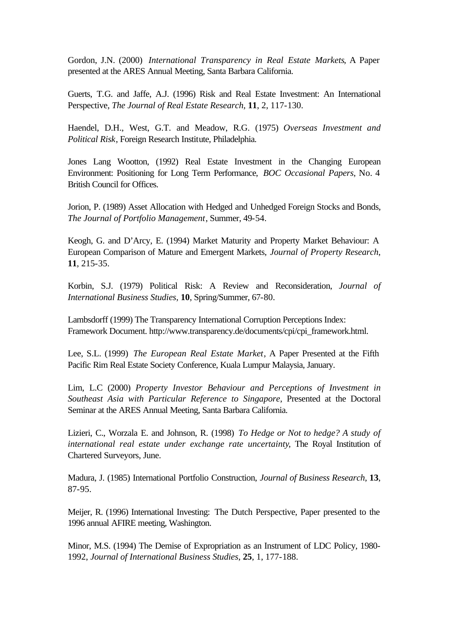Gordon, J.N. (2000) *International Transparency in Real Estate Markets*, A Paper presented at the ARES Annual Meeting, Santa Barbara California.

Guerts, T.G. and Jaffe, A.J. (1996) Risk and Real Estate Investment: An International Perspective, *The Journal of Real Estate Research*, **11**, 2, 117-130.

Haendel, D.H., West, G.T. and Meadow, R.G. (1975) *Overseas Investment and Political Risk*, Foreign Research Institute, Philadelphia.

Jones Lang Wootton, (1992) Real Estate Investment in the Changing European Environment: Positioning for Long Term Performance, *BOC Occasional Papers*, No. 4 British Council for Offices.

Jorion, P. (1989) Asset Allocation with Hedged and Unhedged Foreign Stocks and Bonds, *The Journal of Portfolio Management*, Summer, 49-54.

Keogh, G. and D'Arcy, E. (1994) Market Maturity and Property Market Behaviour: A European Comparison of Mature and Emergent Markets, *Journal of Property Research*, **11**, 215-35.

Korbin, S.J. (1979) Political Risk: A Review and Reconsideration, *Journal of International Business Studies*, **10**, Spring/Summer, 67-80.

Lambsdorff (1999) The Transparency International Corruption Perceptions Index: Framework Document. http://www.transparency.de/documents/cpi/cpi\_framework.html.

Lee, S.L. (1999) *The European Real Estate Market*, A Paper Presented at the Fifth Pacific Rim Real Estate Society Conference, Kuala Lumpur Malaysia, January.

Lim, L.C (2000) *Property Investor Behaviour and Perceptions of Investment in Southeast Asia with Particular Reference to Singapore*, Presented at the Doctoral Seminar at the ARES Annual Meeting, Santa Barbara California.

Lizieri, C., Worzala E. and Johnson, R. (1998) *To Hedge or Not to hedge? A study of international real estate under exchange rate uncertainty*, The Royal Institution of Chartered Surveyors, June.

Madura, J. (1985) International Portfolio Construction, *Journal of Business Research*, **13**, 87-95.

Meijer, R. (1996) International Investing: The Dutch Perspective, Paper presented to the 1996 annual AFIRE meeting, Washington.

Minor, M.S. (1994) The Demise of Expropriation as an Instrument of LDC Policy, 1980- 1992, *Journal of International Business Studies*, **25**, 1, 177-188.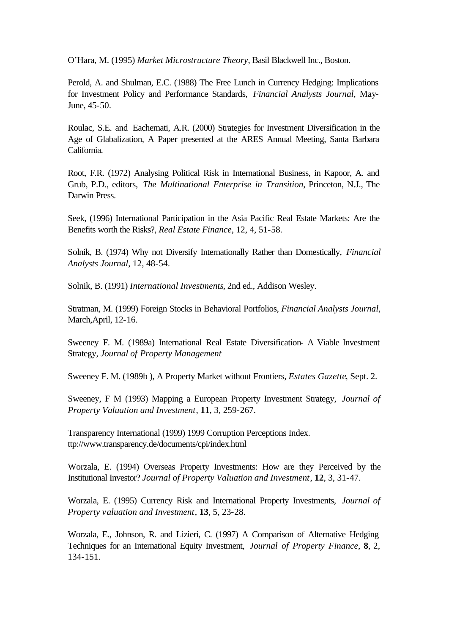O'Hara, M. (1995) *Market Microstructure Theory*, Basil Blackwell Inc., Boston.

Perold, A. and Shulman, E.C. (1988) The Free Lunch in Currency Hedging: Implications for Investment Policy and Performance Standards, *Financial Analysts Journal*, May-June, 45-50.

Roulac, S.E. and Eachemati, A.R. (2000) Strategies for Investment Diversification in the Age of Glabalization, A Paper presented at the ARES Annual Meeting, Santa Barbara California.

Root, F.R. (1972) Analysing Political Risk in International Business, in Kapoor, A. and Grub, P.D., editors, *The Multinational Enterprise in Transition*, Princeton, N.J., The Darwin Press.

Seek, (1996) International Participation in the Asia Pacific Real Estate Markets: Are the Benefits worth the Risks?, *Real Estate Finance*, 12, 4, 51-58.

Solnik, B. (1974) Why not Diversify Internationally Rather than Domestically, *Financial Analysts Journal*, 12, 48-54.

Solnik, B. (1991) *International Investments*, 2nd ed., Addison Wesley.

Stratman, M. (1999) Foreign Stocks in Behavioral Portfolios, *Financial Analysts Journal*, March,April, 12-16.

Sweeney F. M. (1989a) International Real Estate Diversification- A Viable Investment Strategy, *Journal of Property Management*

Sweeney F. M. (1989b ), A Property Market without Frontiers, *Estates Gazette*, Sept. 2.

Sweeney, F M (1993) Mapping a European Property Investment Strategy, *Journal of Property Valuation and Investment*, **11**, 3, 259-267.

Transparency International (1999) 1999 Corruption Perceptions Index. ttp://www.transparency.de/documents/cpi/index.html

Worzala, E. (1994) Overseas Property Investments: How are they Perceived by the Institutional Investor? *Journal of Property Valuation and Investment*, **12**, 3, 31-47.

Worzala, E. (1995) Currency Risk and International Property Investments, *Journal of Property valuation and Investment*, **13**, 5, 23-28.

Worzala, E., Johnson, R. and Lizieri, C. (1997) A Comparison of Alternative Hedging Techniques for an International Equity Investment, *Journal of Property Finance*, **8**, 2, 134-151.